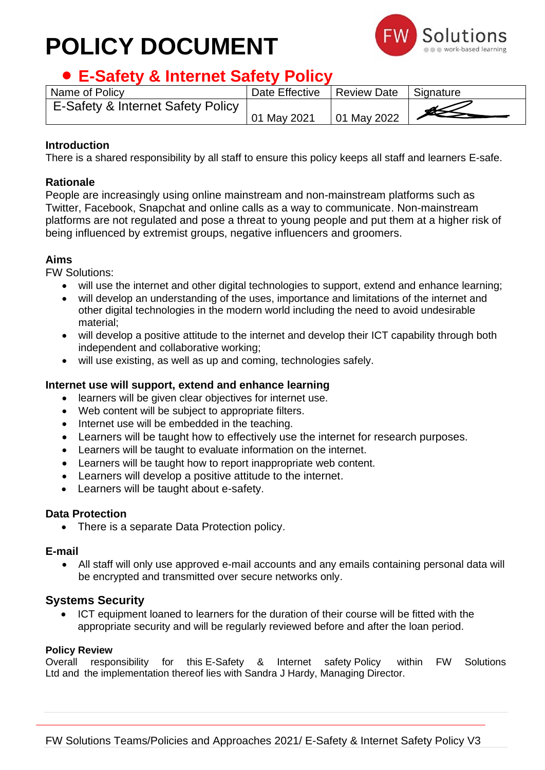# **POLICY DOCUMENT**



# • **E-Safety & Internet Safety Policy**

| Name of Policy                    | Date Effective | Review Date | Signature |
|-----------------------------------|----------------|-------------|-----------|
| E-Safety & Internet Safety Policy |                |             |           |
|                                   | 01 May 2021    | 01 May 2022 |           |

## **Introduction**

There is a shared responsibility by all staff to ensure this policy keeps all staff and learners E-safe.

### **Rationale**

People are increasingly using online mainstream and non-mainstream platforms such as Twitter, Facebook, Snapchat and online calls as a way to communicate. Non-mainstream platforms are not regulated and pose a threat to young people and put them at a higher risk of being influenced by extremist groups, negative influencers and groomers.

## **Aims**

FW Solutions:

- will use the internet and other digital technologies to support, extend and enhance learning;
- will develop an understanding of the uses, importance and limitations of the internet and other digital technologies in the modern world including the need to avoid undesirable material;
- will develop a positive attitude to the internet and develop their ICT capability through both independent and collaborative working;
- will use existing, as well as up and coming, technologies safely.

#### **Internet use will support, extend and enhance learning**

- learners will be given clear objectives for internet use.
- Web content will be subject to appropriate filters.
- Internet use will be embedded in the teaching.
- Learners will be taught how to effectively use the internet for research purposes.
- Learners will be taught to evaluate information on the internet.
- Learners will be taught how to report inappropriate web content.
- Learners will develop a positive attitude to the internet.
- Learners will be taught about e-safety.

#### **Data Protection**

• There is a separate Data Protection policy.

#### **E-mail**

• All staff will only use approved e-mail accounts and any emails containing personal data will be encrypted and transmitted over secure networks only.

## **Systems Security**

• ICT equipment loaned to learners for the duration of their course will be fitted with the appropriate security and will be regularly reviewed before and after the loan period.

#### **Policy Review**

Overall responsibility for this E-Safety & Internet safety Policy within FW Solutions Ltd and the implementation thereof lies with Sandra J Hardy, Managing Director.